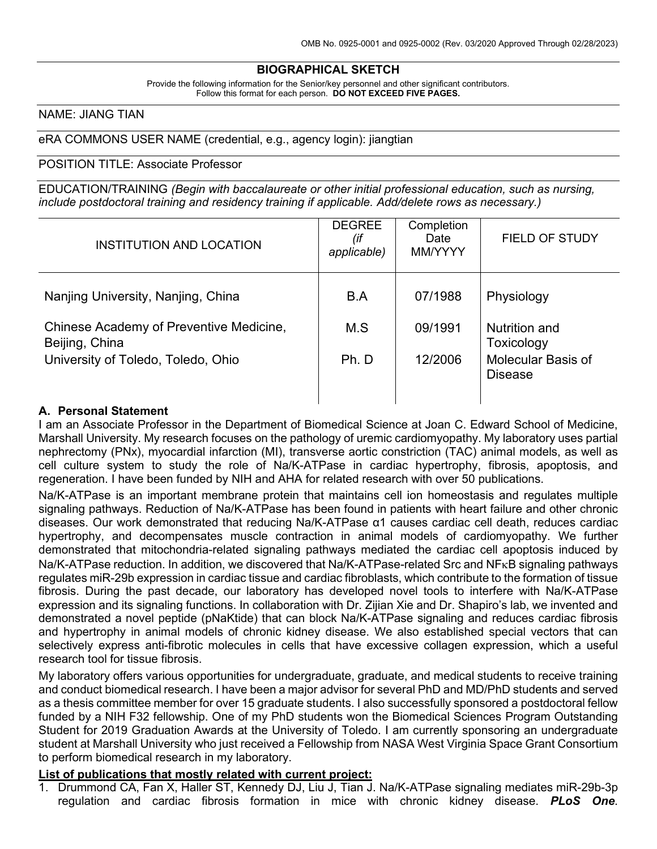# **BIOGRAPHICAL SKETCH**

Provide the following information for the Senior/key personnel and other significant contributors. Follow this format for each person. **DO NOT EXCEED FIVE PAGES.**

#### NAME: JIANG TIAN

#### eRA COMMONS USER NAME (credential, e.g., agency login): jiangtian

#### POSITION TITLE: Associate Professor

EDUCATION/TRAINING *(Begin with baccalaureate or other initial professional education, such as nursing, include postdoctoral training and residency training if applicable. Add/delete rows as necessary.)*

| <b>INSTITUTION AND LOCATION</b>                           | <b>DEGREE</b><br>(if<br>applicable) | Completion<br>Date<br>MM/YYYY | <b>FIELD OF STUDY</b>                       |
|-----------------------------------------------------------|-------------------------------------|-------------------------------|---------------------------------------------|
| Nanjing University, Nanjing, China                        | B.A                                 | 07/1988                       | Physiology                                  |
| Chinese Academy of Preventive Medicine,<br>Beijing, China | M.S                                 | 09/1991                       | Nutrition and<br>Toxicology                 |
| University of Toledo, Toledo, Ohio                        | Ph. D                               | 12/2006                       | <b>Molecular Basis of</b><br><b>Disease</b> |

#### **A. Personal Statement**

I am an Associate Professor in the Department of Biomedical Science at Joan C. Edward School of Medicine, Marshall University. My research focuses on the pathology of uremic cardiomyopathy. My laboratory uses partial nephrectomy (PNx), myocardial infarction (MI), transverse aortic constriction (TAC) animal models, as well as cell culture system to study the role of Na/K-ATPase in cardiac hypertrophy, fibrosis, apoptosis, and regeneration. I have been funded by NIH and AHA for related research with over 50 publications.

Na/K-ATPase is an important membrane protein that maintains cell ion homeostasis and regulates multiple signaling pathways. Reduction of Na/K-ATPase has been found in patients with heart failure and other chronic diseases. Our work demonstrated that reducing Na/K-ATPase α1 causes cardiac cell death, reduces cardiac hypertrophy, and decompensates muscle contraction in animal models of cardiomyopathy. We further demonstrated that mitochondria-related signaling pathways mediated the cardiac cell apoptosis induced by Na/K-ATPase reduction. In addition, we discovered that Na/K-ATPase-related Src and NFκB signaling pathways regulates miR-29b expression in cardiac tissue and cardiac fibroblasts, which contribute to the formation of tissue fibrosis. During the past decade, our laboratory has developed novel tools to interfere with Na/K-ATPase expression and its signaling functions. In collaboration with Dr. Zijian Xie and Dr. Shapiro's lab, we invented and demonstrated a novel peptide (pNaKtide) that can block Na/K-ATPase signaling and reduces cardiac fibrosis and hypertrophy in animal models of chronic kidney disease. We also established special vectors that can selectively express anti-fibrotic molecules in cells that have excessive collagen expression, which a useful research tool for tissue fibrosis.

My laboratory offers various opportunities for undergraduate, graduate, and medical students to receive training and conduct biomedical research. I have been a major advisor for several PhD and MD/PhD students and served as a thesis committee member for over 15 graduate students. I also successfully sponsored a postdoctoral fellow funded by a NIH F32 fellowship. One of my PhD students won the Biomedical Sciences Program Outstanding Student for 2019 Graduation Awards at the University of Toledo. I am currently sponsoring an undergraduate student at Marshall University who just received a Fellowship from NASA West Virginia Space Grant Consortium to perform biomedical research in my laboratory.

#### **List of publications that mostly related with current project:**

1. Drummond CA, Fan X, Haller ST, Kennedy DJ, Liu J, Tian J. Na/K-ATPase signaling mediates miR-29b-3p regulation and cardiac fibrosis formation in mice with chronic kidney disease. *PLoS One*.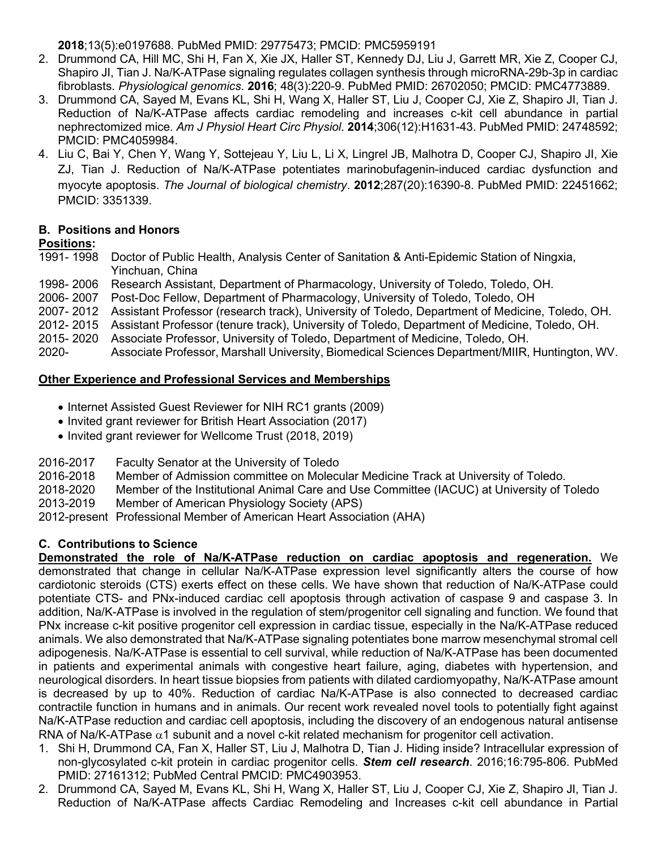**2018**;13(5):e0197688. PubMed PMID: 29775473; PMCID: PMC5959191

- 2. Drummond CA, Hill MC, Shi H, Fan X, Xie JX, Haller ST, Kennedy DJ, Liu J, Garrett MR, Xie Z, Cooper CJ, Shapiro JI, Tian J. Na/K-ATPase signaling regulates collagen synthesis through microRNA-29b-3p in cardiac fibroblasts. *Physiological genomics*. **2016**; 48(3):220-9. PubMed PMID: 26702050; PMCID: PMC4773889.
- 3. Drummond CA, Sayed M, Evans KL, Shi H, Wang X, Haller ST, Liu J, Cooper CJ, Xie Z, Shapiro JI, Tian J. Reduction of Na/K-ATPase affects cardiac remodeling and increases c-kit cell abundance in partial nephrectomized mice. *Am J Physiol Heart Circ Physiol*. **2014**;306(12):H1631-43. PubMed PMID: 24748592; PMCID: PMC4059984.
- 4. Liu C, Bai Y, Chen Y, Wang Y, Sottejeau Y, Liu L, Li X, Lingrel JB, Malhotra D, Cooper CJ, Shapiro JI, Xie ZJ, Tian J. Reduction of Na/K-ATPase potentiates marinobufagenin-induced cardiac dysfunction and myocyte apoptosis. *The Journal of biological chemistry*. **2012**;287(20):16390-8. PubMed PMID: 22451662; PMCID: 3351339.

# **B. Positions and Honors**

# **Positions:**

1991- 1998 Doctor of Public Health, Analysis Center of Sanitation & Anti-Epidemic Station of Ningxia, Yinchuan, China

1998- 2006 Research Assistant, Department of Pharmacology, University of Toledo, Toledo, OH.

Post-Doc Fellow, Department of Pharmacology, University of Toledo, Toledo, OH

2007- 2012 Assistant Professor (research track), University of Toledo, Department of Medicine, Toledo, OH.

2012- 2015 Assistant Professor (tenure track), University of Toledo, Department of Medicine, Toledo, OH.

2015- 2020 Associate Professor, University of Toledo, Department of Medicine, Toledo, OH.

2020- Associate Professor, Marshall University, Biomedical Sciences Department/MIIR, Huntington, WV.

# **Other Experience and Professional Services and Memberships**

- Internet Assisted Guest Reviewer for NIH RC1 grants (2009)
- Invited grant reviewer for British Heart Association (2017)
- Invited grant reviewer for Wellcome Trust (2018, 2019)

| 2016-2017 | Faculty Senator at the University of Toledo |  |  |
|-----------|---------------------------------------------|--|--|
|           |                                             |  |  |

- 2016-2018 Member of Admission committee on Molecular Medicine Track at University of Toledo.
- 2018-2020 Member of the Institutional Animal Care and Use Committee (IACUC) at University of Toledo

2013-2019 Member of American Physiology Society (APS)

2012-present Professional Member of American Heart Association (AHA)

# **C. Contributions to Science**

**Demonstrated the role of Na/K-ATPase reduction on cardiac apoptosis and regeneration.** We demonstrated that change in cellular Na/K-ATPase expression level significantly alters the course of how cardiotonic steroids (CTS) exerts effect on these cells. We have shown that reduction of Na/K-ATPase could potentiate CTS- and PNx-induced cardiac cell apoptosis through activation of caspase 9 and caspase 3. In addition, Na/K-ATPase is involved in the regulation of stem/progenitor cell signaling and function. We found that PNx increase c-kit positive progenitor cell expression in cardiac tissue, especially in the Na/K-ATPase reduced animals. We also demonstrated that Na/K-ATPase signaling potentiates bone marrow mesenchymal stromal cell adipogenesis. Na/K-ATPase is essential to cell survival, while reduction of Na/K-ATPase has been documented in patients and experimental animals with congestive heart failure, aging, diabetes with hypertension, and neurological disorders. In heart tissue biopsies from patients with dilated cardiomyopathy, Na/K-ATPase amount is decreased by up to 40%. Reduction of cardiac Na/K-ATPase is also connected to decreased cardiac contractile function in humans and in animals. Our recent work revealed novel tools to potentially fight against Na/K-ATPase reduction and cardiac cell apoptosis, including the discovery of an endogenous natural antisense RNA of Na/K-ATPase  $\alpha$ 1 subunit and a novel c-kit related mechanism for progenitor cell activation.

- 1. Shi H, Drummond CA, Fan X, Haller ST, Liu J, Malhotra D, Tian J. Hiding inside? Intracellular expression of non-glycosylated c-kit protein in cardiac progenitor cells. *Stem cell research*. 2016;16:795-806. PubMed PMID: 27161312; PubMed Central PMCID: PMC4903953.
- 2. Drummond CA, Sayed M, Evans KL, Shi H, Wang X, Haller ST, Liu J, Cooper CJ, Xie Z, Shapiro JI, Tian J. Reduction of Na/K-ATPase affects Cardiac Remodeling and Increases c-kit cell abundance in Partial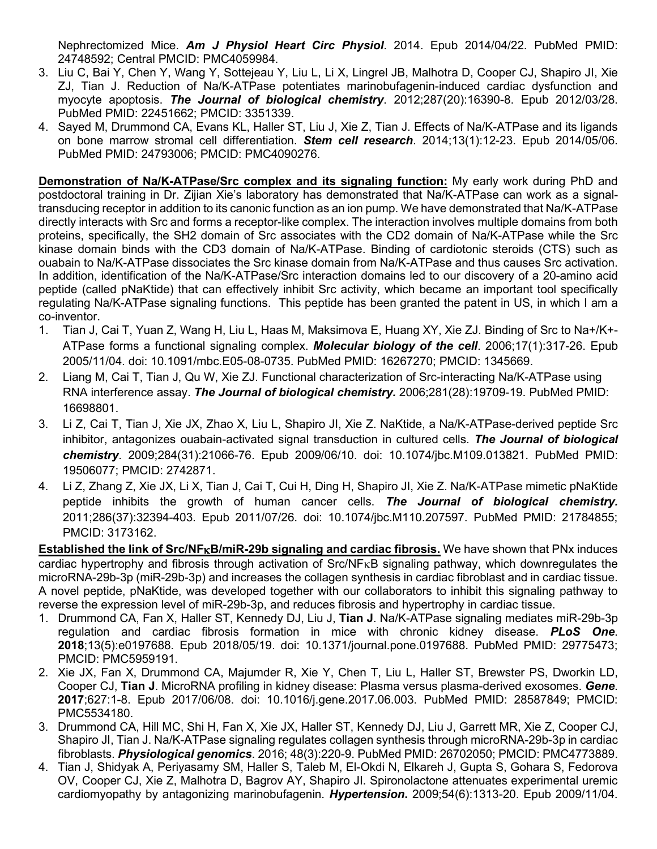Nephrectomized Mice. *Am J Physiol Heart Circ Physiol*. 2014. Epub 2014/04/22. PubMed PMID: 24748592; Central PMCID: PMC4059984.

- 3. Liu C, Bai Y, Chen Y, Wang Y, Sottejeau Y, Liu L, Li X, Lingrel JB, Malhotra D, Cooper CJ, Shapiro JI, Xie ZJ, Tian J. Reduction of Na/K-ATPase potentiates marinobufagenin-induced cardiac dysfunction and myocyte apoptosis. *The Journal of biological chemistry*. 2012;287(20):16390-8. Epub 2012/03/28. PubMed PMID: 22451662; PMCID: 3351339.
- 4. Sayed M, Drummond CA, Evans KL, Haller ST, Liu J, Xie Z, Tian J. Effects of Na/K-ATPase and its ligands on bone marrow stromal cell differentiation. *Stem cell research*. 2014;13(1):12-23. Epub 2014/05/06. PubMed PMID: 24793006; PMCID: PMC4090276.

**Demonstration of Na/K-ATPase/Src complex and its signaling function:** My early work during PhD and postdoctoral training in Dr. Zijian Xie's laboratory has demonstrated that Na/K-ATPase can work as a signaltransducing receptor in addition to its canonic function as an ion pump. We have demonstrated that Na/K-ATPase directly interacts with Src and forms a receptor-like complex. The interaction involves multiple domains from both proteins, specifically, the SH2 domain of Src associates with the CD2 domain of Na/K-ATPase while the Src kinase domain binds with the CD3 domain of Na/K-ATPase. Binding of cardiotonic steroids (CTS) such as ouabain to Na/K-ATPase dissociates the Src kinase domain from Na/K-ATPase and thus causes Src activation. In addition, identification of the Na/K-ATPase/Src interaction domains led to our discovery of a 20-amino acid peptide (called pNaKtide) that can effectively inhibit Src activity, which became an important tool specifically regulating Na/K-ATPase signaling functions. This peptide has been granted the patent in US, in which I am a co-inventor.

- 1. Tian J, Cai T, Yuan Z, Wang H, Liu L, Haas M, Maksimova E, Huang XY, Xie ZJ. Binding of Src to Na+/K+- ATPase forms a functional signaling complex. *Molecular biology of the cell*. 2006;17(1):317-26. Epub 2005/11/04. doi: 10.1091/mbc.E05-08-0735. PubMed PMID: 16267270; PMCID: 1345669.
- 2. Liang M, Cai T, Tian J, Qu W, Xie ZJ. Functional characterization of Src-interacting Na/K-ATPase using RNA interference assay. *The Journal of biological chemistry.* 2006;281(28):19709-19. PubMed PMID: 16698801.
- 3. Li Z, Cai T, Tian J, Xie JX, Zhao X, Liu L, Shapiro JI, Xie Z. NaKtide, a Na/K-ATPase-derived peptide Src inhibitor, antagonizes ouabain-activated signal transduction in cultured cells. *The Journal of biological chemistry*. 2009;284(31):21066-76. Epub 2009/06/10. doi: 10.1074/jbc.M109.013821. PubMed PMID: 19506077; PMCID: 2742871.
- 4. Li Z, Zhang Z, Xie JX, Li X, Tian J, Cai T, Cui H, Ding H, Shapiro JI, Xie Z. Na/K-ATPase mimetic pNaKtide peptide inhibits the growth of human cancer cells. *The Journal of biological chemistry.* 2011;286(37):32394-403. Epub 2011/07/26. doi: 10.1074/jbc.M110.207597. PubMed PMID: 21784855; PMCID: 3173162.

**Established the link of Src/NF**κ**B/miR-29b signaling and cardiac fibrosis.** We have shown that PNx induces cardiac hypertrophy and fibrosis through activation of Src/NFκB signaling pathway, which downregulates the microRNA-29b-3p (miR-29b-3p) and increases the collagen synthesis in cardiac fibroblast and in cardiac tissue. A novel peptide, pNaKtide, was developed together with our collaborators to inhibit this signaling pathway to reverse the expression level of miR-29b-3p, and reduces fibrosis and hypertrophy in cardiac tissue.

- 1. Drummond CA, Fan X, Haller ST, Kennedy DJ, Liu J, **Tian J**. Na/K-ATPase signaling mediates miR-29b-3p regulation and cardiac fibrosis formation in mice with chronic kidney disease. *PLoS One*. **2018**;13(5):e0197688. Epub 2018/05/19. doi: 10.1371/journal.pone.0197688. PubMed PMID: 29775473; PMCID: PMC5959191.
- 2. Xie JX, Fan X, Drummond CA, Majumder R, Xie Y, Chen T, Liu L, Haller ST, Brewster PS, Dworkin LD, Cooper CJ, **Tian J**. MicroRNA profiling in kidney disease: Plasma versus plasma-derived exosomes. *Gene*. **2017**;627:1-8. Epub 2017/06/08. doi: 10.1016/j.gene.2017.06.003. PubMed PMID: 28587849; PMCID: PMC5534180.
- 3. Drummond CA, Hill MC, Shi H, Fan X, Xie JX, Haller ST, Kennedy DJ, Liu J, Garrett MR, Xie Z, Cooper CJ, Shapiro JI, Tian J. Na/K-ATPase signaling regulates collagen synthesis through microRNA-29b-3p in cardiac fibroblasts. *Physiological genomics*. 2016; 48(3):220-9. PubMed PMID: 26702050; PMCID: PMC4773889.
- 4. Tian J, Shidyak A, Periyasamy SM, Haller S, Taleb M, El-Okdi N, Elkareh J, Gupta S, Gohara S, Fedorova OV, Cooper CJ, Xie Z, Malhotra D, Bagrov AY, Shapiro JI. Spironolactone attenuates experimental uremic cardiomyopathy by antagonizing marinobufagenin. *Hypertension***.** 2009;54(6):1313-20. Epub 2009/11/04.